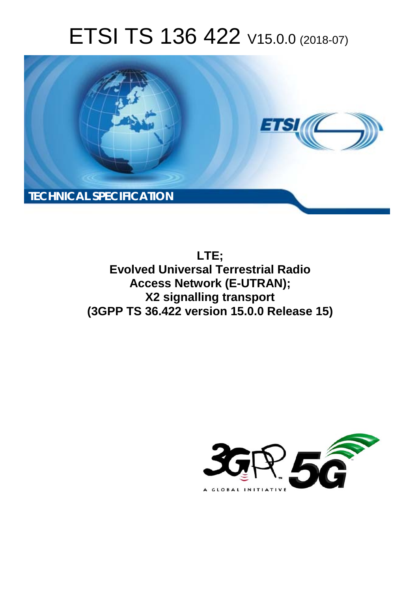# ETSI TS 136 422 V15.0.0 (2018-07)



**LTE; Evolved Universal Terrestrial Radio Access Network (E-UTRAN); X2 signalling transport (3GPP TS 36.422 version 15.0.0 Release 15)** 

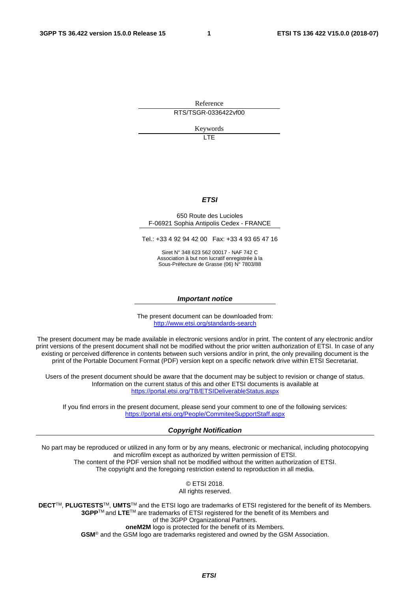Reference RTS/TSGR-0336422vf00

Keywords

LTE

#### *ETSI*

#### 650 Route des Lucioles F-06921 Sophia Antipolis Cedex - FRANCE

Tel.: +33 4 92 94 42 00 Fax: +33 4 93 65 47 16

Siret N° 348 623 562 00017 - NAF 742 C Association à but non lucratif enregistrée à la Sous-Préfecture de Grasse (06) N° 7803/88

#### *Important notice*

The present document can be downloaded from: <http://www.etsi.org/standards-search>

The present document may be made available in electronic versions and/or in print. The content of any electronic and/or print versions of the present document shall not be modified without the prior written authorization of ETSI. In case of any existing or perceived difference in contents between such versions and/or in print, the only prevailing document is the print of the Portable Document Format (PDF) version kept on a specific network drive within ETSI Secretariat.

Users of the present document should be aware that the document may be subject to revision or change of status. Information on the current status of this and other ETSI documents is available at <https://portal.etsi.org/TB/ETSIDeliverableStatus.aspx>

If you find errors in the present document, please send your comment to one of the following services: <https://portal.etsi.org/People/CommiteeSupportStaff.aspx>

#### *Copyright Notification*

No part may be reproduced or utilized in any form or by any means, electronic or mechanical, including photocopying and microfilm except as authorized by written permission of ETSI. The content of the PDF version shall not be modified without the written authorization of ETSI. The copyright and the foregoing restriction extend to reproduction in all media.

> © ETSI 2018. All rights reserved.

**DECT**TM, **PLUGTESTS**TM, **UMTS**TM and the ETSI logo are trademarks of ETSI registered for the benefit of its Members. **3GPP**TM and **LTE**TM are trademarks of ETSI registered for the benefit of its Members and of the 3GPP Organizational Partners. **oneM2M** logo is protected for the benefit of its Members.

**GSM**® and the GSM logo are trademarks registered and owned by the GSM Association.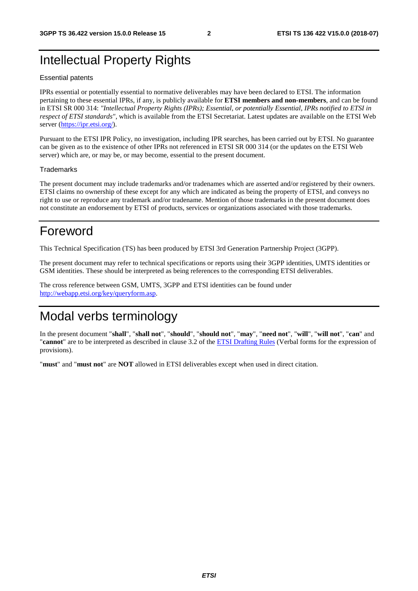### Intellectual Property Rights

#### Essential patents

IPRs essential or potentially essential to normative deliverables may have been declared to ETSI. The information pertaining to these essential IPRs, if any, is publicly available for **ETSI members and non-members**, and can be found in ETSI SR 000 314: *"Intellectual Property Rights (IPRs); Essential, or potentially Essential, IPRs notified to ETSI in respect of ETSI standards"*, which is available from the ETSI Secretariat. Latest updates are available on the ETSI Web server ([https://ipr.etsi.org/\)](https://ipr.etsi.org/).

Pursuant to the ETSI IPR Policy, no investigation, including IPR searches, has been carried out by ETSI. No guarantee can be given as to the existence of other IPRs not referenced in ETSI SR 000 314 (or the updates on the ETSI Web server) which are, or may be, or may become, essential to the present document.

#### **Trademarks**

The present document may include trademarks and/or tradenames which are asserted and/or registered by their owners. ETSI claims no ownership of these except for any which are indicated as being the property of ETSI, and conveys no right to use or reproduce any trademark and/or tradename. Mention of those trademarks in the present document does not constitute an endorsement by ETSI of products, services or organizations associated with those trademarks.

### Foreword

This Technical Specification (TS) has been produced by ETSI 3rd Generation Partnership Project (3GPP).

The present document may refer to technical specifications or reports using their 3GPP identities, UMTS identities or GSM identities. These should be interpreted as being references to the corresponding ETSI deliverables.

The cross reference between GSM, UMTS, 3GPP and ETSI identities can be found under [http://webapp.etsi.org/key/queryform.asp.](http://webapp.etsi.org/key/queryform.asp)

### Modal verbs terminology

In the present document "**shall**", "**shall not**", "**should**", "**should not**", "**may**", "**need not**", "**will**", "**will not**", "**can**" and "**cannot**" are to be interpreted as described in clause 3.2 of the [ETSI Drafting Rules](https://portal.etsi.org/Services/editHelp!/Howtostart/ETSIDraftingRules.aspx) (Verbal forms for the expression of provisions).

"**must**" and "**must not**" are **NOT** allowed in ETSI deliverables except when used in direct citation.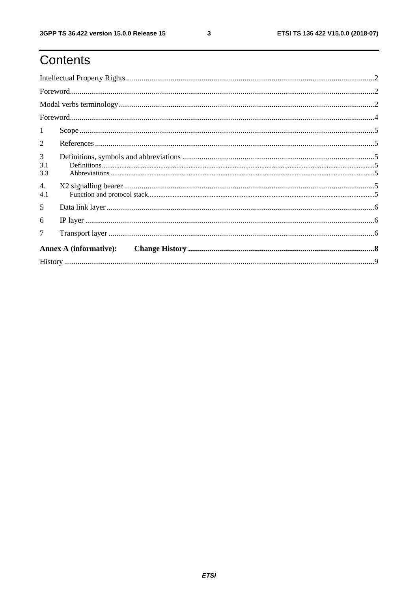# Contents

|                               | $\textbf{For} \texttt{word} \texttt{} \texttt{} \texttt{} \texttt{} \texttt{} \texttt{} \texttt{} \texttt{} \texttt{} \texttt{} \texttt{} \texttt{} \texttt{} \texttt{} \texttt{} \texttt{} \texttt{} \texttt{} \texttt{} \texttt{} \texttt{} \texttt{} \texttt{} \texttt{} \texttt{} \texttt{} \texttt{} \texttt{} \texttt{} \texttt{} \texttt{} \texttt{} \texttt{} \texttt{} \texttt{$ |  |  |  |  |  |
|-------------------------------|-------------------------------------------------------------------------------------------------------------------------------------------------------------------------------------------------------------------------------------------------------------------------------------------------------------------------------------------------------------------------------------------|--|--|--|--|--|
|                               |                                                                                                                                                                                                                                                                                                                                                                                           |  |  |  |  |  |
|                               | $\textbf{For} \textit{word} \textit{} \textit{} \textit{} \textit{} \textit{} \textit{} \textit{} \textit{} \textit{} \textit{} \textit{} \textit{} \textit{} \textit{} \textit{} \textit{} \textit{} \textit{} \textit{} \textit{} \textit{} \textit{} \textit{} \textit{} \textit{} \textit{} \textit{} \textit{} \textit{} \textit{} \textit{} \textit{} \textit{} \textit{} \textit{$ |  |  |  |  |  |
| 1                             |                                                                                                                                                                                                                                                                                                                                                                                           |  |  |  |  |  |
| 2                             |                                                                                                                                                                                                                                                                                                                                                                                           |  |  |  |  |  |
| 3<br>3.1<br>3.3               |                                                                                                                                                                                                                                                                                                                                                                                           |  |  |  |  |  |
| 4.<br>4.1                     |                                                                                                                                                                                                                                                                                                                                                                                           |  |  |  |  |  |
| 5                             |                                                                                                                                                                                                                                                                                                                                                                                           |  |  |  |  |  |
| 6                             |                                                                                                                                                                                                                                                                                                                                                                                           |  |  |  |  |  |
| 7                             |                                                                                                                                                                                                                                                                                                                                                                                           |  |  |  |  |  |
| <b>Annex A (informative):</b> |                                                                                                                                                                                                                                                                                                                                                                                           |  |  |  |  |  |
|                               |                                                                                                                                                                                                                                                                                                                                                                                           |  |  |  |  |  |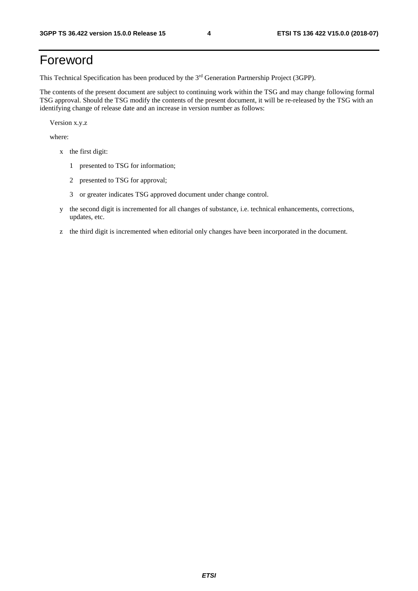# Foreword

This Technical Specification has been produced by the 3rd Generation Partnership Project (3GPP).

The contents of the present document are subject to continuing work within the TSG and may change following formal TSG approval. Should the TSG modify the contents of the present document, it will be re-released by the TSG with an identifying change of release date and an increase in version number as follows:

Version x.y.z

where:

- x the first digit:
	- 1 presented to TSG for information;
	- 2 presented to TSG for approval;
	- 3 or greater indicates TSG approved document under change control.
- y the second digit is incremented for all changes of substance, i.e. technical enhancements, corrections, updates, etc.
- z the third digit is incremented when editorial only changes have been incorporated in the document.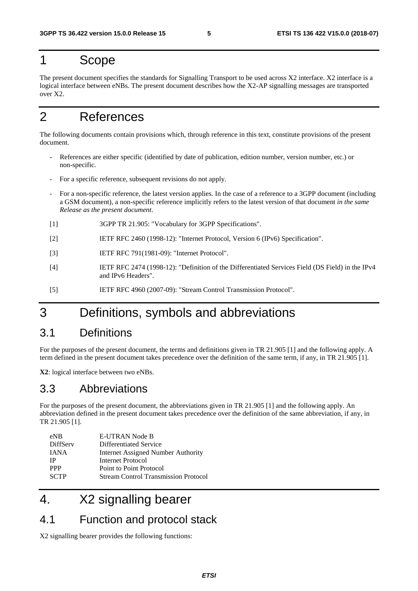#### 1 Scope

The present document specifies the standards for Signalling Transport to be used across X2 interface. X2 interface is a logical interface between eNBs. The present document describes how the X2-AP signalling messages are transported over X2.

### 2 References

The following documents contain provisions which, through reference in this text, constitute provisions of the present document.

- References are either specific (identified by date of publication, edition number, version number, etc.) or non-specific.
- For a specific reference, subsequent revisions do not apply.
- For a non-specific reference, the latest version applies. In the case of a reference to a 3GPP document (including a GSM document), a non-specific reference implicitly refers to the latest version of that document *in the same Release as the present document*.
- [1] 3GPP TR 21.905: "Vocabulary for 3GPP Specifications".
- [2] IETF RFC 2460 (1998-12): "Internet Protocol, Version 6 (IPv6) Specification".
- [3] IETF RFC 791(1981-09): "Internet Protocol".
- [4] IETF RFC 2474 (1998-12): "Definition of the Differentiated Services Field (DS Field) in the IPv4 and IPv6 Headers".
- [5] IETF RFC 4960 (2007-09): "Stream Control Transmission Protocol".

### 3 Definitions, symbols and abbreviations

#### 3.1 Definitions

For the purposes of the present document, the terms and definitions given in TR 21.905 [1] and the following apply. A term defined in the present document takes precedence over the definition of the same term, if any, in TR 21.905 [1].

**X2**: logical interface between two eNBs.

#### 3.3 Abbreviations

For the purposes of the present document, the abbreviations given in TR 21.905 [1] and the following apply. An abbreviation defined in the present document takes precedence over the definition of the same abbreviation, if any, in TR 21.905 [1].

| $e$ NB          | <b>E-UTRAN Node B</b>                       |
|-----------------|---------------------------------------------|
| <b>DiffServ</b> | Differentiated Service                      |
| <b>IANA</b>     | Internet Assigned Number Authority          |
| ΙP              | Internet Protocol                           |
| <b>PPP</b>      | Point to Point Protocol                     |
| <b>SCTP</b>     | <b>Stream Control Transmission Protocol</b> |
|                 |                                             |

# 4. X2 signalling bearer

#### 4.1 Function and protocol stack

X2 signalling bearer provides the following functions: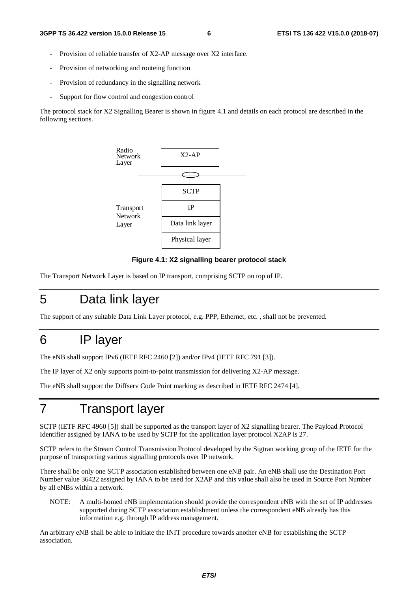- Provision of reliable transfer of X2-AP message over X2 interface.
- Provision of networking and routeing function
- Provision of redundancy in the signalling network
- Support for flow control and congestion control

The protocol stack for X2 Signalling Bearer is shown in figure 4.1 and details on each protocol are described in the following sections.



#### **Figure 4.1: X2 signalling bearer protocol stack**

The Transport Network Layer is based on IP transport, comprising SCTP on top of IP.

### 5 Data link layer

The support of any suitable Data Link Layer protocol, e.g. PPP, Ethernet, etc. , shall not be prevented.

#### 6 IP layer

The eNB shall support IPv6 (IETF RFC 2460 [2]) and/or IPv4 (IETF RFC 791 [3]).

The IP layer of X2 only supports point-to-point transmission for delivering X2-AP message.

The eNB shall support the Diffserv Code Point marking as described in IETF RFC 2474 [4].

### 7 Transport layer

SCTP (IETF RFC 4960 [5]) shall be supported as the transport layer of X2 signalling bearer. The Payload Protocol Identifier assigned by IANA to be used by SCTP for the application layer protocol X2AP is 27.

SCTP refers to the Stream Control Transmission Protocol developed by the Sigtran working group of the IETF for the purpose of transporting various signalling protocols over IP network.

There shall be only one SCTP association established between one eNB pair. An eNB shall use the Destination Port Number value 36422 assigned by IANA to be used for X2AP and this value shall also be used in Source Port Number by all eNBs within a network.

NOTE: A multi-homed eNB implementation should provide the correspondent eNB with the set of IP addresses supported during SCTP association establishment unless the correspondent eNB already has this information e.g. through IP address management.

An arbitrary eNB shall be able to initiate the INIT procedure towards another eNB for establishing the SCTP association.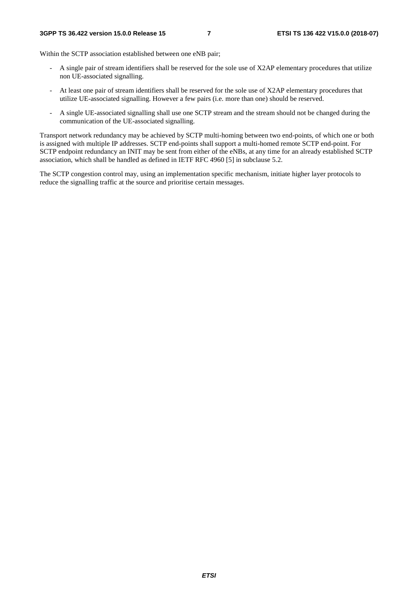Within the SCTP association established between one eNB pair:

- A single pair of stream identifiers shall be reserved for the sole use of X2AP elementary procedures that utilize non UE-associated signalling.
- At least one pair of stream identifiers shall be reserved for the sole use of X2AP elementary procedures that utilize UE-associated signalling. However a few pairs (i.e. more than one) should be reserved.
- A single UE-associated signalling shall use one SCTP stream and the stream should not be changed during the communication of the UE-associated signalling.

Transport network redundancy may be achieved by SCTP multi-homing between two end-points, of which one or both is assigned with multiple IP addresses. SCTP end-points shall support a multi-homed remote SCTP end-point. For SCTP endpoint redundancy an INIT may be sent from either of the eNBs, at any time for an already established SCTP association, which shall be handled as defined in IETF RFC 4960 [5] in subclause 5.2.

The SCTP congestion control may, using an implementation specific mechanism, initiate higher layer protocols to reduce the signalling traffic at the source and prioritise certain messages.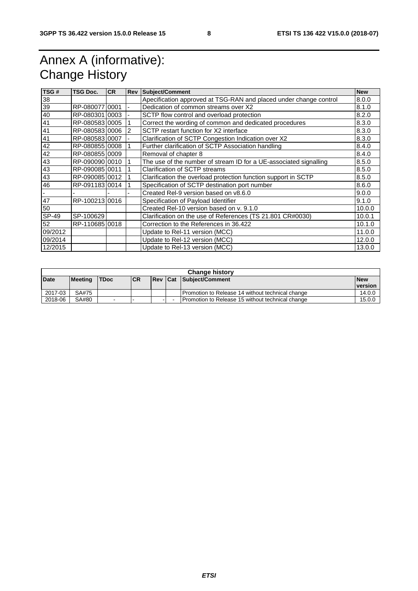# Annex A (informative): Change History

| TSG#         | <b>TSG Doc.</b> | <b>CR</b> | <b>Rev</b> | <b>Subject/Comment</b>                                            | <b>New</b> |  |
|--------------|-----------------|-----------|------------|-------------------------------------------------------------------|------------|--|
| 38           |                 |           |            | Apecification approved at TSG-RAN and placed under change control | 8.0.0      |  |
| 39           | RP-08007710001  |           |            | Dedication of common streams over X2<br>8.1.0                     |            |  |
| 40           | RP-08030110003  |           |            | SCTP flow control and overload protection                         | 8.2.0      |  |
| 41           | RP-080583 0005  |           |            | Correct the wording of common and dedicated procedures            | 8.3.0      |  |
| 41           | RP-08058310006  |           | 2          | SCTP restart function for X2 interface                            | 8.3.0      |  |
| 41           | RP-08058310007  |           |            | Clarification of SCTP Congestion Indication over X2               | 8.3.0      |  |
| 42           | RP-08085510008  |           |            | Further clarification of SCTP Association handling                | 8.4.0      |  |
| 42           | RP-08085510009  |           |            | Removal of chapter 8                                              | 8.4.0      |  |
| 43           | RP-09009010010  |           |            | The use of the number of stream ID for a UE-associated signalling | 8.5.0      |  |
| 43           | RP-090085 0011  |           |            | Clarification of SCTP streams                                     | 8.5.0      |  |
| 43           | RP-09008510012  |           |            | Clarification the overload protection function support in SCTP    | 8.5.0      |  |
| 46           | RP-09118310014  |           |            | Specification of SCTP destination port number                     | 8.6.0      |  |
|              |                 |           |            | Created Rel-9 version based on v8.6.0                             | 9.0.0      |  |
| 47           | RP-10021310016  |           |            | Specification of Payload Identifier                               | 9.1.0      |  |
| 50           |                 |           |            | Created Rel-10 version based on y, 9.1.0                          | 10.0.0     |  |
| <b>SP-49</b> | SP-100629       |           |            | Clarification on the use of References (TS 21.801 CR#0030)        | 10.0.1     |  |
| 52           | RP-110685 0018  |           |            | Correction to the References in 36.422                            | 10.1.0     |  |
| 09/2012      |                 |           |            | Update to Rel-11 version (MCC)                                    | 11.0.0     |  |
| 09/2014      |                 |           |            | Update to Rel-12 version (MCC)                                    | 12.0.0     |  |
| 12/2015      |                 |           |            | Update to Rel-13 version (MCC)                                    | 13.0.0     |  |

| <b>Change history</b> |                |             |           |  |  |                                                    |            |  |
|-----------------------|----------------|-------------|-----------|--|--|----------------------------------------------------|------------|--|
| Date                  | <b>Meeting</b> | <b>TDoc</b> | <b>CR</b> |  |  | <b>Rev Cat Subiect/Comment</b>                     | <b>New</b> |  |
|                       |                |             |           |  |  |                                                    | version    |  |
| 2017-03               | SA#75          |             |           |  |  | Promotion to Release 14 without technical change   | 14.0.0     |  |
| 2018-06               | SA#80          | $-$         | -         |  |  | l Promotion to Release 15 without technical change | 15.0.0     |  |